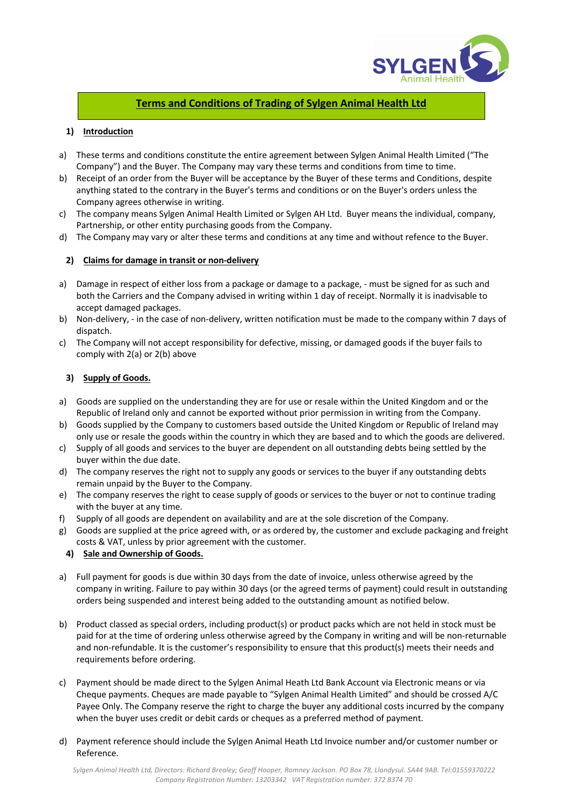

# **Terms and Conditions of Trading of Sylgen Animal Health Ltd**

# **1) Introduction**

- a) These terms and conditions constitute the entire agreement between Sylgen Animal Health Limited ("The Company") and the Buyer. The Company may vary these terms and conditions from time to time.
- b) Receipt of an order from the Buyer will be acceptance by the Buyer of these terms and Conditions, despite anything stated to the contrary in the Buyer's terms and conditions or on the Buyer's orders unless the Company agrees otherwise in writing.
- c) The company means Sylgen Animal Health Limited or Sylgen AH Ltd. Buyer means the individual, company, Partnership, or other entity purchasing goods from the Company.
- d) The Company may vary or alter these terms and conditions at any time and without refence to the Buyer.

## **2) Claims for damage in transit or non-delivery**

- a) Damage in respect of either loss from a package or damage to a package, must be signed for as such and both the Carriers and the Company advised in writing within 1 day of receipt. Normally it is inadvisable to accept damaged packages.
- b) Non-delivery, in the case of non-delivery, written notification must be made to the company within 7 days of dispatch.
- c) The Company will not accept responsibility for defective, missing, or damaged goods if the buyer fails to comply with 2(a) or 2(b) above

## **3) Supply of Goods.**

- a) Goods are supplied on the understanding they are for use or resale within the United Kingdom and or the Republic of Ireland only and cannot be exported without prior permission in writing from the Company.
- b) Goods supplied by the Company to customers based outside the United Kingdom or Republic of Ireland may only use or resale the goods within the country in which they are based and to which the goods are delivered.
- c) Supply of all goods and services to the buyer are dependent on all outstanding debts being settled by the buyer within the due date.
- d) The company reserves the right not to supply any goods or services to the buyer if any outstanding debts remain unpaid by the Buyer to the Company.
- e) The company reserves the right to cease supply of goods or services to the buyer or not to continue trading with the buyer at any time.
- f) Supply of all goods are dependent on availability and are at the sole discretion of the Company.
- g) Goods are supplied at the price agreed with, or as ordered by, the customer and exclude packaging and freight costs & VAT, unless by prior agreement with the customer.

# **4) Sale and Ownership of Goods.**

- a) Full payment for goods is due within 30 days from the date of invoice, unless otherwise agreed by the company in writing. Failure to pay within 30 days (or the agreed terms of payment) could result in outstanding orders being suspended and interest being added to the outstanding amount as notified below.
- b) Product classed as special orders, including product(s) or product packs which are not held in stock must be paid for at the time of ordering unless otherwise agreed by the Company in writing and will be non-returnable and non-refundable. It is the customer's responsibility to ensure that this product(s) meets their needs and requirements before ordering.
- c) Payment should be made direct to the Sylgen Animal Heath Ltd Bank Account via Electronic means or via Cheque payments. Cheques are made payable to "Sylgen Animal Health Limited" and should be crossed A/C Payee Only. The Company reserve the right to charge the buyer any additional costs incurred by the company when the buyer uses credit or debit cards or cheques as a preferred method of payment.
- d) Payment reference should include the Sylgen Animal Heath Ltd Invoice number and/or customer number or Reference.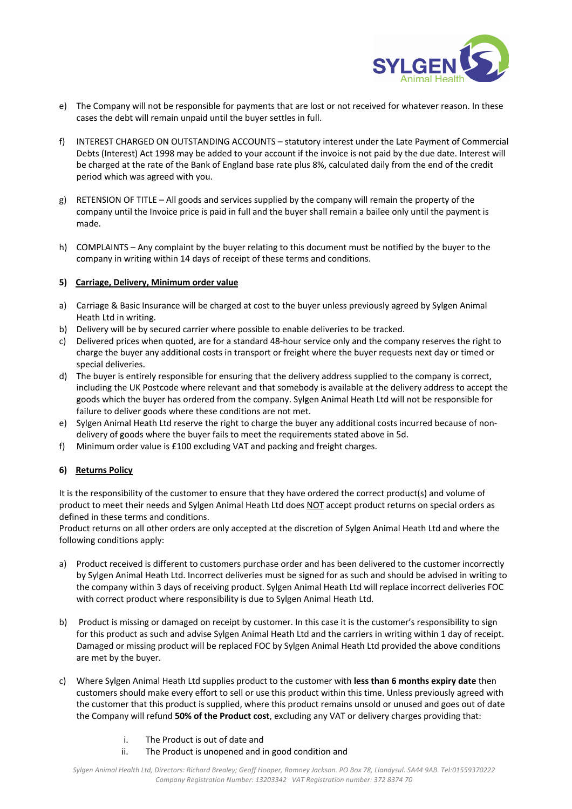

- e) The Company will not be responsible for payments that are lost or not received for whatever reason. In these cases the debt will remain unpaid until the buyer settles in full.
- f) INTEREST CHARGED ON OUTSTANDING ACCOUNTS statutory interest under the Late Payment of Commercial Debts (Interest) Act 1998 may be added to your account if the invoice is not paid by the due date. Interest will be charged at the rate of the Bank of England base rate plus 8%, calculated daily from the end of the credit period which was agreed with you.
- g) RETENSION OF TITLE All goods and services supplied by the company will remain the property of the company until the Invoice price is paid in full and the buyer shall remain a bailee only until the payment is made.
- h) COMPLAINTS Any complaint by the buyer relating to this document must be notified by the buyer to the company in writing within 14 days of receipt of these terms and conditions.

#### **5) Carriage, Delivery, Minimum order value**

- a) Carriage & Basic Insurance will be charged at cost to the buyer unless previously agreed by Sylgen Animal Heath Ltd in writing.
- b) Delivery will be by secured carrier where possible to enable deliveries to be tracked.
- c) Delivered prices when quoted, are for a standard 48-hour service only and the company reserves the right to charge the buyer any additional costs in transport or freight where the buyer requests next day or timed or special deliveries.
- d) The buyer is entirely responsible for ensuring that the delivery address supplied to the company is correct, including the UK Postcode where relevant and that somebody is available at the delivery address to accept the goods which the buyer has ordered from the company. Sylgen Animal Heath Ltd will not be responsible for failure to deliver goods where these conditions are not met.
- e) Sylgen Animal Heath Ltd reserve the right to charge the buyer any additional costs incurred because of nondelivery of goods where the buyer fails to meet the requirements stated above in 5d.
- f) Minimum order value is £100 excluding VAT and packing and freight charges.

# **6) Returns Policy**

It is the responsibility of the customer to ensure that they have ordered the correct product(s) and volume of product to meet their needs and Sylgen Animal Heath Ltd does NOT accept product returns on special orders as defined in these terms and conditions.

Product returns on all other orders are only accepted at the discretion of Sylgen Animal Heath Ltd and where the following conditions apply:

- a) Product received is different to customers purchase order and has been delivered to the customer incorrectly by Sylgen Animal Heath Ltd. Incorrect deliveries must be signed for as such and should be advised in writing to the company within 3 days of receiving product. Sylgen Animal Heath Ltd will replace incorrect deliveries FOC with correct product where responsibility is due to Sylgen Animal Heath Ltd.
- b) Product is missing or damaged on receipt by customer. In this case it is the customer's responsibility to sign for this product as such and advise Sylgen Animal Heath Ltd and the carriers in writing within 1 day of receipt. Damaged or missing product will be replaced FOC by Sylgen Animal Heath Ltd provided the above conditions are met by the buyer.
- c) Where Sylgen Animal Heath Ltd supplies product to the customer with **less than 6 months expiry date** then customers should make every effort to sell or use this product within this time. Unless previously agreed with the customer that this product is supplied, where this product remains unsold or unused and goes out of date the Company will refund **50% of the Product cost**, excluding any VAT or delivery charges providing that:
	- i. The Product is out of date and
	- ii. The Product is unopened and in good condition and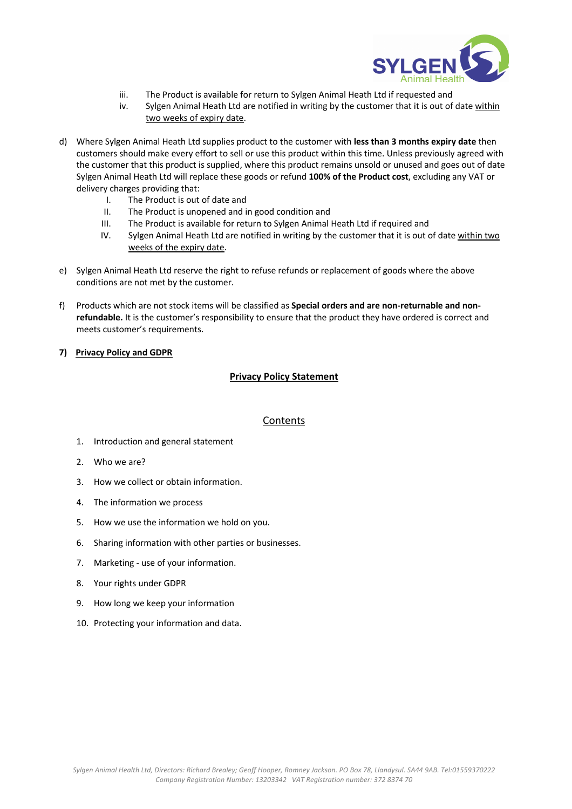

- iii. The Product is available for return to Sylgen Animal Heath Ltd if requested and
- iv. Sylgen Animal Heath Ltd are notified in writing by the customer that it is out of date within two weeks of expiry date.
- d) Where Sylgen Animal Heath Ltd supplies product to the customer with **less than 3 months expiry date** then customers should make every effort to sell or use this product within this time. Unless previously agreed with the customer that this product is supplied, where this product remains unsold or unused and goes out of date Sylgen Animal Heath Ltd will replace these goods or refund **100% of the Product cost**, excluding any VAT or delivery charges providing that:
	- I. The Product is out of date and
	- II. The Product is unopened and in good condition and
	- III. The Product is available for return to Sylgen Animal Heath Ltd if required and
	- IV. Sylgen Animal Heath Ltd are notified in writing by the customer that it is out of date within two weeks of the expiry date.
- e) Sylgen Animal Heath Ltd reserve the right to refuse refunds or replacement of goods where the above conditions are not met by the customer.
- f) Products which are not stock items will be classified as **Special orders and are non-returnable and nonrefundable.** It is the customer's responsibility to ensure that the product they have ordered is correct and meets customer's requirements.

#### **7) Privacy Policy and GDPR**

#### **Privacy Policy Statement**

#### **Contents**

- 1. Introduction and general statement
- 2. Who we are?
- 3. How we collect or obtain information.
- 4. The information we process
- 5. How we use the information we hold on you.
- 6. Sharing information with other parties or businesses.
- 7. Marketing use of your information.
- 8. Your rights under GDPR
- 9. How long we keep your information
- 10. Protecting your information and data.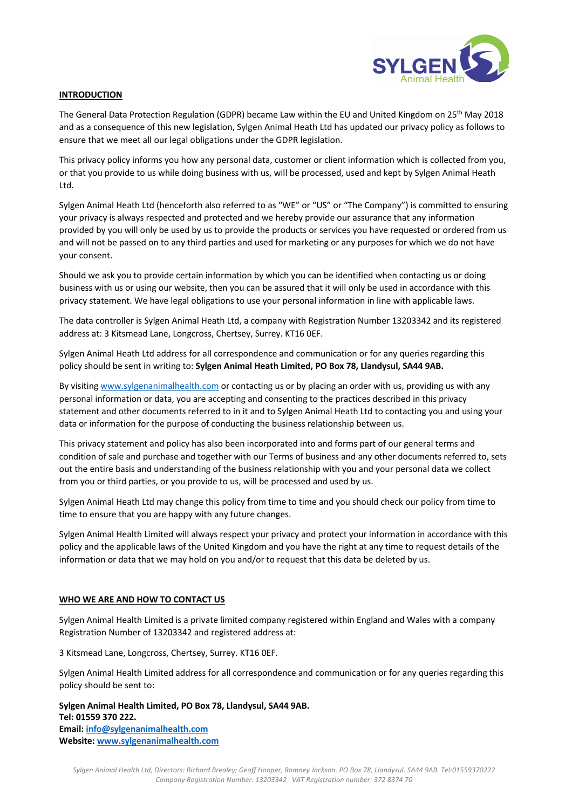

### **INTRODUCTION**

The General Data Protection Regulation (GDPR) became Law within the EU and United Kingdom on 25<sup>th</sup> May 2018 and as a consequence of this new legislation, Sylgen Animal Heath Ltd has updated our privacy policy as follows to ensure that we meet all our legal obligations under the GDPR legislation.

This privacy policy informs you how any personal data, customer or client information which is collected from you, or that you provide to us while doing business with us, will be processed, used and kept by Sylgen Animal Heath Ltd.

Sylgen Animal Heath Ltd (henceforth also referred to as "WE" or "US" or "The Company") is committed to ensuring your privacy is always respected and protected and we hereby provide our assurance that any information provided by you will only be used by us to provide the products or services you have requested or ordered from us and will not be passed on to any third parties and used for marketing or any purposes for which we do not have your consent.

Should we ask you to provide certain information by which you can be identified when contacting us or doing business with us or using our website, then you can be assured that it will only be used in accordance with this privacy statement. We have legal obligations to use your personal information in line with applicable laws.

The data controller is Sylgen Animal Heath Ltd, a company with Registration Number 13203342 and its registered address at: 3 Kitsmead Lane, Longcross, Chertsey, Surrey. KT16 0EF.

Sylgen Animal Heath Ltd address for all correspondence and communication or for any queries regarding this policy should be sent in writing to: **Sylgen Animal Heath Limited, PO Box 78, Llandysul, SA44 9AB.**

By visiting www.sylgenanimalhealth.com or contacting us or by placing an order with us, providing us with any personal information or data, you are accepting and consenting to the practices described in this privacy statement and other documents referred to in it and to Sylgen Animal Heath Ltd to contacting you and using your data or information for the purpose of conducting the business relationship between us.

This privacy statement and policy has also been incorporated into and forms part of our general terms and condition of sale and purchase and together with our Terms of business and any other documents referred to, sets out the entire basis and understanding of the business relationship with you and your personal data we collect from you or third parties, or you provide to us, will be processed and used by us.

Sylgen Animal Heath Ltd may change this policy from time to time and you should check our policy from time to time to ensure that you are happy with any future changes.

Sylgen Animal Health Limited will always respect your privacy and protect your information in accordance with this policy and the applicable laws of the United Kingdom and you have the right at any time to request details of the information or data that we may hold on you and/or to request that this data be deleted by us.

#### **WHO WE ARE AND HOW TO CONTACT US**

Sylgen Animal Health Limited is a private limited company registered within England and Wales with a company Registration Number of 13203342 and registered address at:

3 Kitsmead Lane, Longcross, Chertsey, Surrey. KT16 0EF.

Sylgen Animal Health Limited address for all correspondence and communication or for any queries regarding this policy should be sent to:

**Sylgen Animal Health Limited, PO Box 78, Llandysul, SA44 9AB. Tel: 01559 370 222. Email: info@sylgenanimalhealth.com Website: www.sylgenanimalhealth.com**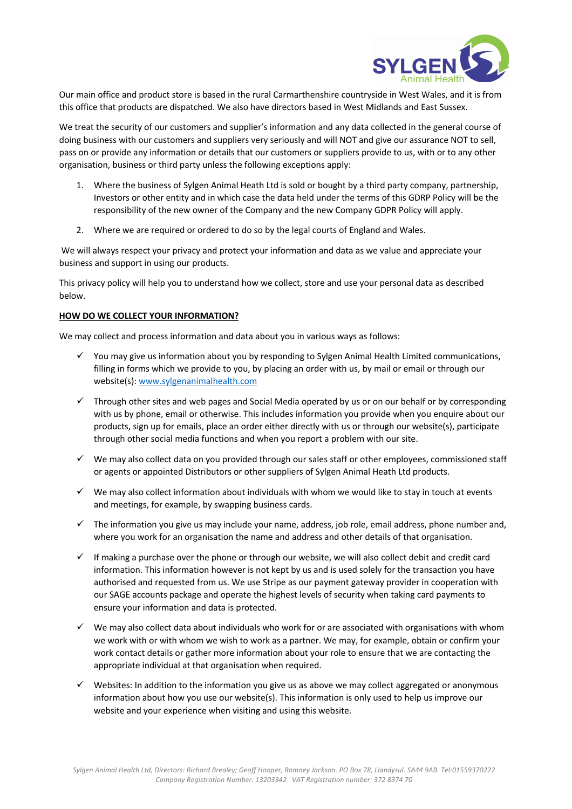

Our main office and product store is based in the rural Carmarthenshire countryside in West Wales, and it is from this office that products are dispatched. We also have directors based in West Midlands and East Sussex.

We treat the security of our customers and supplier's information and any data collected in the general course of doing business with our customers and suppliers very seriously and will NOT and give our assurance NOT to sell, pass on or provide any information or details that our customers or suppliers provide to us, with or to any other organisation, business or third party unless the following exceptions apply:

- 1. Where the business of Sylgen Animal Heath Ltd is sold or bought by a third party company, partnership, Investors or other entity and in which case the data held under the terms of this GDRP Policy will be the responsibility of the new owner of the Company and the new Company GDPR Policy will apply.
- 2. Where we are required or ordered to do so by the legal courts of England and Wales.

We will always respect your privacy and protect your information and data as we value and appreciate your business and support in using our products.

This privacy policy will help you to understand how we collect, store and use your personal data as described below.

## **HOW DO WE COLLECT YOUR INFORMATION?**

We may collect and process information and data about you in various ways as follows:

- $\checkmark$  You may give us information about you by responding to Sylgen Animal Health Limited communications, filling in forms which we provide to you, by placing an order with us, by mail or email or through our website(s): www.sylgenanimalhealth.com
- $\checkmark$  Through other sites and web pages and Social Media operated by us or on our behalf or by corresponding with us by phone, email or otherwise. This includes information you provide when you enquire about our products, sign up for emails, place an order either directly with us or through our website(s), participate through other social media functions and when you report a problem with our site.
- $\checkmark$  We may also collect data on you provided through our sales staff or other employees, commissioned staff or agents or appointed Distributors or other suppliers of Sylgen Animal Heath Ltd products.
- $\checkmark$  We may also collect information about individuals with whom we would like to stay in touch at events and meetings, for example, by swapping business cards.
- $\checkmark$  The information you give us may include your name, address, job role, email address, phone number and, where you work for an organisation the name and address and other details of that organisation.
- $\checkmark$  If making a purchase over the phone or through our website, we will also collect debit and credit card information. This information however is not kept by us and is used solely for the transaction you have authorised and requested from us. We use Stripe as our payment gateway provider in cooperation with our SAGE accounts package and operate the highest levels of security when taking card payments to ensure your information and data is protected.
- $\checkmark$  We may also collect data about individuals who work for or are associated with organisations with whom we work with or with whom we wish to work as a partner. We may, for example, obtain or confirm your work contact details or gather more information about your role to ensure that we are contacting the appropriate individual at that organisation when required.
- $\checkmark$  Websites: In addition to the information you give us as above we may collect aggregated or anonymous information about how you use our website(s). This information is only used to help us improve our website and your experience when visiting and using this website.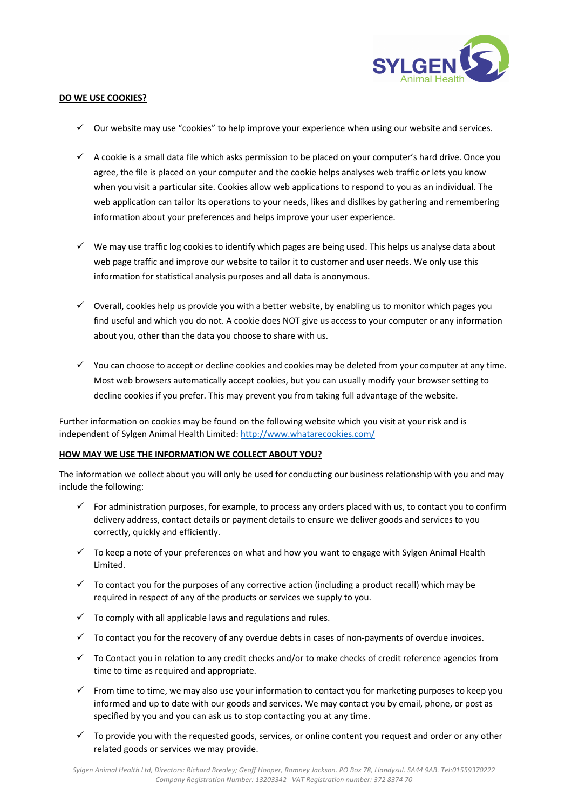

#### **DO WE USE COOKIES?**

- $\checkmark$  Our website may use "cookies" to help improve your experience when using our website and services.
- $\checkmark$  A cookie is a small data file which asks permission to be placed on your computer's hard drive. Once you agree, the file is placed on your computer and the cookie helps analyses web traffic or lets you know when you visit a particular site. Cookies allow web applications to respond to you as an individual. The web application can tailor its operations to your needs, likes and dislikes by gathering and remembering information about your preferences and helps improve your user experience.
- $\checkmark$  We may use traffic log cookies to identify which pages are being used. This helps us analyse data about web page traffic and improve our website to tailor it to customer and user needs. We only use this information for statistical analysis purposes and all data is anonymous.
- $\checkmark$  Overall, cookies help us provide you with a better website, by enabling us to monitor which pages you find useful and which you do not. A cookie does NOT give us access to your computer or any information about you, other than the data you choose to share with us.
- $\checkmark$  You can choose to accept or decline cookies and cookies may be deleted from your computer at any time. Most web browsers automatically accept cookies, but you can usually modify your browser setting to decline cookies if you prefer. This may prevent you from taking full advantage of the website.

Further information on cookies may be found on the following website which you visit at your risk and is independent of Sylgen Animal Health Limited: http://www.whatarecookies.com/

#### **HOW MAY WE USE THE INFORMATION WE COLLECT ABOUT YOU?**

The information we collect about you will only be used for conducting our business relationship with you and may include the following:

- $\checkmark$  For administration purposes, for example, to process any orders placed with us, to contact you to confirm delivery address, contact details or payment details to ensure we deliver goods and services to you correctly, quickly and efficiently.
- $\checkmark$  To keep a note of your preferences on what and how you want to engage with Sylgen Animal Health Limited.
- $\checkmark$  To contact you for the purposes of any corrective action (including a product recall) which may be required in respect of any of the products or services we supply to you.
- $\checkmark$  To comply with all applicable laws and regulations and rules.
- $\checkmark$  To contact you for the recovery of any overdue debts in cases of non-payments of overdue invoices.
- $\checkmark$  To Contact you in relation to any credit checks and/or to make checks of credit reference agencies from time to time as required and appropriate.
- $\checkmark$  From time to time, we may also use your information to contact you for marketing purposes to keep you informed and up to date with our goods and services. We may contact you by email, phone, or post as specified by you and you can ask us to stop contacting you at any time.
- $\checkmark$  To provide you with the requested goods, services, or online content you request and order or any other related goods or services we may provide.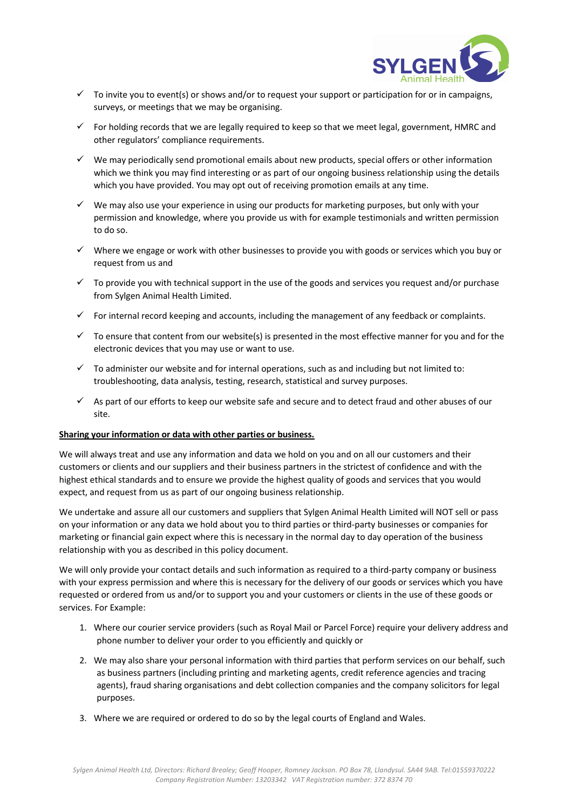

- $\checkmark$  To invite you to event(s) or shows and/or to request your support or participation for or in campaigns, surveys, or meetings that we may be organising.
- $\checkmark$  For holding records that we are legally required to keep so that we meet legal, government, HMRC and other regulators' compliance requirements.
- $\checkmark$  We may periodically send promotional emails about new products, special offers or other information which we think you may find interesting or as part of our ongoing business relationship using the details which you have provided. You may opt out of receiving promotion emails at any time.
- $\checkmark$  We may also use your experience in using our products for marketing purposes, but only with your permission and knowledge, where you provide us with for example testimonials and written permission to do so.
- $\checkmark$  Where we engage or work with other businesses to provide you with goods or services which you buy or request from us and
- $\checkmark$  To provide you with technical support in the use of the goods and services you request and/or purchase from Sylgen Animal Health Limited.
- $\checkmark$  For internal record keeping and accounts, including the management of any feedback or complaints.
- $\checkmark$  To ensure that content from our website(s) is presented in the most effective manner for you and for the electronic devices that you may use or want to use.
- $\checkmark$  To administer our website and for internal operations, such as and including but not limited to: troubleshooting, data analysis, testing, research, statistical and survey purposes.
- $\checkmark$  As part of our efforts to keep our website safe and secure and to detect fraud and other abuses of our site.

### **Sharing your information or data with other parties or business.**

We will always treat and use any information and data we hold on you and on all our customers and their customers or clients and our suppliers and their business partners in the strictest of confidence and with the highest ethical standards and to ensure we provide the highest quality of goods and services that you would expect, and request from us as part of our ongoing business relationship.

We undertake and assure all our customers and suppliers that Sylgen Animal Health Limited will NOT sell or pass on your information or any data we hold about you to third parties or third-party businesses or companies for marketing or financial gain expect where this is necessary in the normal day to day operation of the business relationship with you as described in this policy document.

We will only provide your contact details and such information as required to a third-party company or business with your express permission and where this is necessary for the delivery of our goods or services which you have requested or ordered from us and/or to support you and your customers or clients in the use of these goods or services. For Example:

- 1. Where our courier service providers (such as Royal Mail or Parcel Force) require your delivery address and phone number to deliver your order to you efficiently and quickly or
- 2. We may also share your personal information with third parties that perform services on our behalf, such as business partners (including printing and marketing agents, credit reference agencies and tracing agents), fraud sharing organisations and debt collection companies and the company solicitors for legal purposes.
- 3. Where we are required or ordered to do so by the legal courts of England and Wales.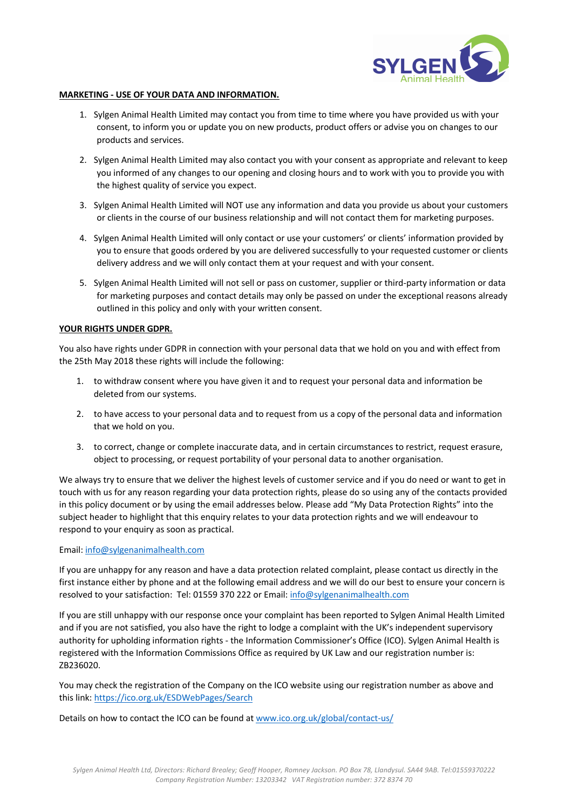

#### **MARKETING - USE OF YOUR DATA AND INFORMATION.**

- 1. Sylgen Animal Health Limited may contact you from time to time where you have provided us with your consent, to inform you or update you on new products, product offers or advise you on changes to our products and services.
- 2. Sylgen Animal Health Limited may also contact you with your consent as appropriate and relevant to keep you informed of any changes to our opening and closing hours and to work with you to provide you with the highest quality of service you expect.
- 3. Sylgen Animal Health Limited will NOT use any information and data you provide us about your customers or clients in the course of our business relationship and will not contact them for marketing purposes.
- 4. Sylgen Animal Health Limited will only contact or use your customers' or clients' information provided by you to ensure that goods ordered by you are delivered successfully to your requested customer or clients delivery address and we will only contact them at your request and with your consent.
- 5. Sylgen Animal Health Limited will not sell or pass on customer, supplier or third-party information or data for marketing purposes and contact details may only be passed on under the exceptional reasons already outlined in this policy and only with your written consent.

#### **YOUR RIGHTS UNDER GDPR.**

You also have rights under GDPR in connection with your personal data that we hold on you and with effect from the 25th May 2018 these rights will include the following:

- 1. to withdraw consent where you have given it and to request your personal data and information be deleted from our systems.
- 2. to have access to your personal data and to request from us a copy of the personal data and information that we hold on you.
- 3. to correct, change or complete inaccurate data, and in certain circumstances to restrict, request erasure, object to processing, or request portability of your personal data to another organisation.

We always try to ensure that we deliver the highest levels of customer service and if you do need or want to get in touch with us for any reason regarding your data protection rights, please do so using any of the contacts provided in this policy document or by using the email addresses below. Please add "My Data Protection Rights" into the subject header to highlight that this enquiry relates to your data protection rights and we will endeavour to respond to your enquiry as soon as practical.

Email: info@sylgenanimalhealth.com

If you are unhappy for any reason and have a data protection related complaint, please contact us directly in the first instance either by phone and at the following email address and we will do our best to ensure your concern is resolved to your satisfaction: Tel: 01559 370 222 or Email: info@sylgenanimalhealth.com

If you are still unhappy with our response once your complaint has been reported to Sylgen Animal Health Limited and if you are not satisfied, you also have the right to lodge a complaint with the UK's independent supervisory authority for upholding information rights - the Information Commissioner's Office (ICO). Sylgen Animal Health is registered with the Information Commissions Office as required by UK Law and our registration number is: ZB236020.

You may check the registration of the Company on the ICO website using our registration number as above and this link: https://ico.org.uk/ESDWebPages/Search

Details on how to contact the ICO can be found at www.ico.org.uk/global/contact-us/